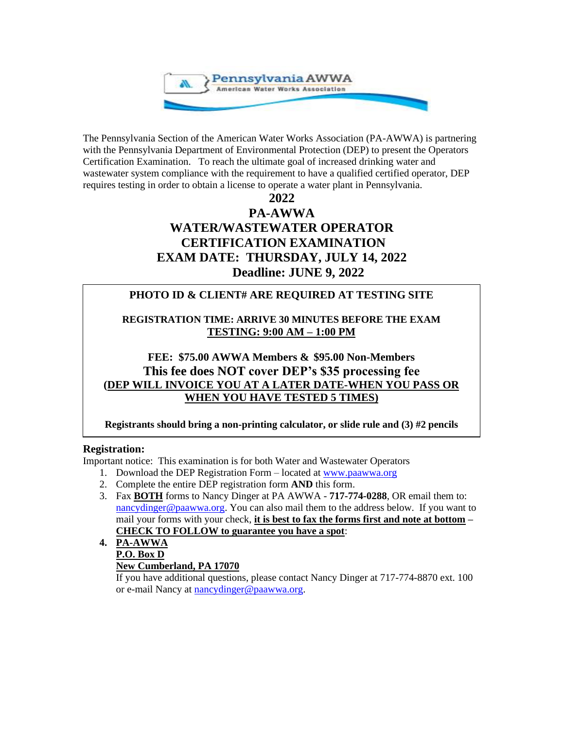

The Pennsylvania Section of the American Water Works Association (PA-AWWA) is partnering with the Pennsylvania Department of Environmental Protection (DEP) to present the Operators Certification Examination. To reach the ultimate goal of increased drinking water and wastewater system compliance with the requirement to have a qualified certified operator, DEP requires testing in order to obtain a license to operate a water plant in Pennsylvania.

**2022**

# **PA-AWWA WATER/WASTEWATER OPERATOR CERTIFICATION EXAMINATION EXAM DATE: THURSDAY, JULY 14, 2022 Deadline: JUNE 9, 2022**

# **PHOTO ID & CLIENT# ARE REQUIRED AT TESTING SITE**

**REGISTRATION TIME: ARRIVE 30 MINUTES BEFORE THE EXAM TESTING: 9:00 AM – 1:00 PM**

# **FEE: \$75.00 AWWA Members & \$95.00 Non-Members This fee does NOT cover DEP's \$35 processing fee (DEP WILL INVOICE YOU AT A LATER DATE-WHEN YOU PASS OR WHEN YOU HAVE TESTED 5 TIMES)**

**Registrants should bring a non-printing calculator, or slide rule and (3) #2 pencils**

#### **Registration:** You do not need a contract to record report to register for the criminal history record report to register for this example of the criminal history record report to register for the criminal history record report to report

Important notice: This examination is for both Water and Wastewater Operators

- 1. Download the DEP Registration Form located at [www.paawwa.org](http://www.paawwa.org/)
- 2. Complete the entire DEP registration form **AND** this form.
- 3. Fax **BOTH** forms to Nancy Dinger at PA AWWA **717-774-0288**, OR email them to: [nancydinger@paawwa.org.](mailto:nancydinger@paawwa.org) You can also mail them to the address below. If you want to mail your forms with your check, **it is best to fax the forms first and note at bottom – CHECK TO FOLLOW to guarantee you have a spot**:

## **4. PA-AWWA P.O. Box D**

## **New Cumberland, PA 17070**

If you have additional questions, please contact Nancy Dinger at 717-774-8870 ext. 100 or e-mail Nancy at [nancydinger@paawwa.org.](mailto:nancydinger@paawwa.org)